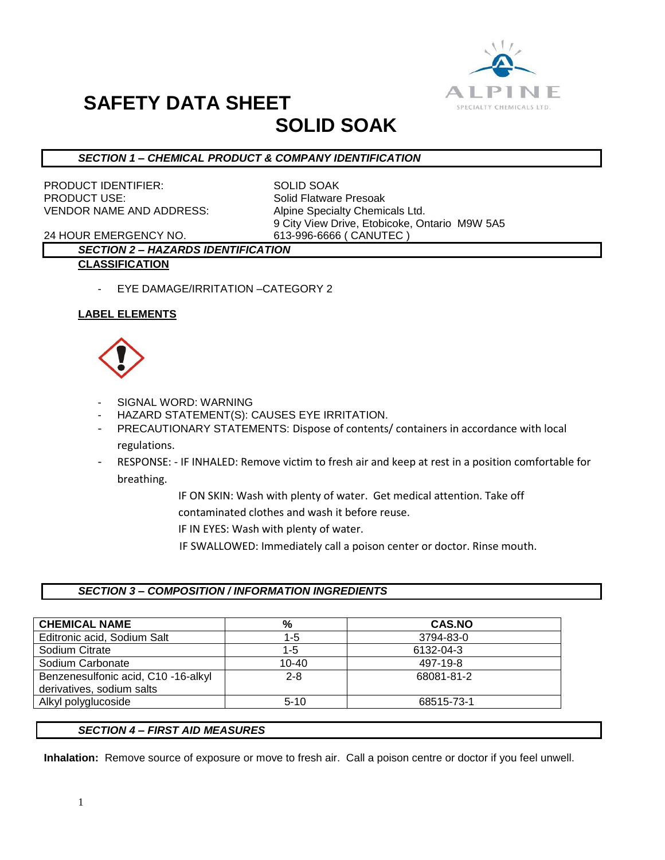

# **SAFETY DATA SHEET**

## **SOLID SOAK**

#### *SECTION 1 – CHEMICAL PRODUCT & COMPANY IDENTIFICATION*

PRODUCT IDENTIFIER: SOLID SOAK PRODUCT USE: Solid Flatware Presoak VENDOR NAME AND ADDRESS: Alpine Specialty Chemicals Ltd.

9 City View Drive, Etobicoke, Ontario M9W 5A5

24 HOUR EMERGENCY NO. 613-996-6666 ( CANUTEC )

#### *SECTION 2 – HAZARDS IDENTIFICATION* **CLASSIFICATION**

- - EYE DAMAGE/IRRITATION –CATEGORY 2

#### **LABEL ELEMENTS**



- SIGNAL WORD: WARNING
- HAZARD STATEMENT(S): CAUSES EYE IRRITATION.
- PRECAUTIONARY STATEMENTS: Dispose of contents/ containers in accordance with local regulations.
- RESPONSE: IF INHALED: Remove victim to fresh air and keep at rest in a position comfortable for breathing.
	- IF ON SKIN: Wash with plenty of water. Get medical attention. Take off
	- contaminated clothes and wash it before reuse.
	- IF IN EYES: Wash with plenty of water.
	- IF SWALLOWED: Immediately call a poison center or doctor. Rinse mouth.

#### *SECTION 3 – COMPOSITION / INFORMATION INGREDIENTS*

| <b>CHEMICAL NAME</b>                | %         | <b>CAS.NO</b> |
|-------------------------------------|-----------|---------------|
| Editronic acid, Sodium Salt         | $1 - 5$   | 3794-83-0     |
| Sodium Citrate                      | 1-5       | 6132-04-3     |
| Sodium Carbonate                    | $10 - 40$ | 497-19-8      |
| Benzenesulfonic acid, C10 -16-alkyl | $2 - 8$   | 68081-81-2    |
| derivatives, sodium salts           |           |               |
| Alkyl polyglucoside                 | $5 - 10$  | 68515-73-1    |

#### *SECTION 4 – FIRST AID MEASURES*

**Inhalation:** Remove source of exposure or move to fresh air. Call a poison centre or doctor if you feel unwell.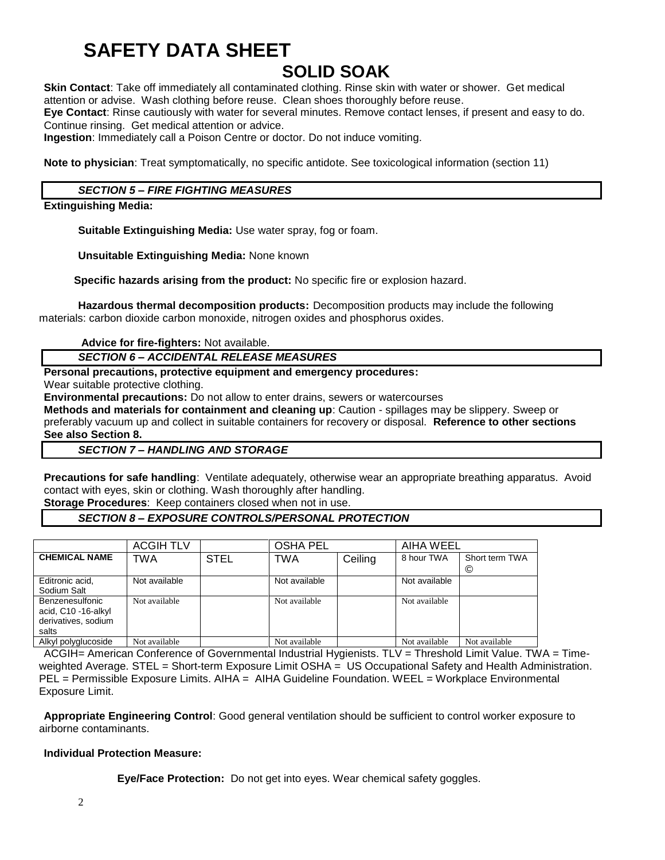## **SAFETY DATA SHEET**

## **SOLID SOAK**

**Skin Contact**: Take off immediately all contaminated clothing. Rinse skin with water or shower. Get medical attention or advise. Wash clothing before reuse. Clean shoes thoroughly before reuse.

**Eye Contact**: Rinse cautiously with water for several minutes. Remove contact lenses, if present and easy to do. Continue rinsing. Get medical attention or advice.

**Ingestion**: Immediately call a Poison Centre or doctor. Do not induce vomiting.

**Note to physician**: Treat symptomatically, no specific antidote. See toxicological information (section 11)

#### *SECTION 5 – FIRE FIGHTING MEASURES*

**Extinguishing Media:**

**Suitable Extinguishing Media:** Use water spray, fog or foam.

**Unsuitable Extinguishing Media:** None known

 **Specific hazards arising from the product:** No specific fire or explosion hazard.

**Hazardous thermal decomposition products:** Decomposition products may include the following materials: carbon dioxide carbon monoxide, nitrogen oxides and phosphorus oxides.

**Advice for fire-fighters:** Not available.

*SECTION 6 – ACCIDENTAL RELEASE MEASURES*

#### **Personal precautions, protective equipment and emergency procedures:**

Wear suitable protective clothing.

**Environmental precautions:** Do not allow to enter drains, sewers or watercourses

**Methods and materials for containment and cleaning up**: Caution - spillages may be slippery. Sweep or preferably vacuum up and collect in suitable containers for recovery or disposal. **Reference to other sections See also Section 8.**

*SECTION 7 – HANDLING AND STORAGE*

**Precautions for safe handling**: Ventilate adequately, otherwise wear an appropriate breathing apparatus. Avoid contact with eyes, skin or clothing. Wash thoroughly after handling.

**Storage Procedures**: Keep containers closed when not in use.

#### *SECTION 8 – EXPOSURE CONTROLS/PERSONAL PROTECTION*

|                                                                               | <b>ACGIH TLV</b> |             | <b>OSHA PEL</b> |         | AIHA WEEL     |                     |
|-------------------------------------------------------------------------------|------------------|-------------|-----------------|---------|---------------|---------------------|
| <b>CHEMICAL NAME</b>                                                          | TWA              | <b>STEL</b> | TWA             | Ceiling | 8 hour TWA    | Short term TWA<br>© |
| Editronic acid,<br>Sodium Salt                                                | Not available    |             | Not available   |         | Not available |                     |
| <b>Benzenesulfonic</b><br>acid, C10 -16-alkyl<br>derivatives, sodium<br>salts | Not available    |             | Not available   |         | Not available |                     |
| Alkyl polyglucoside                                                           | Not available    |             | Not available   |         | Not available | Not available       |

ACGIH= American Conference of Governmental Industrial Hygienists. TLV = Threshold Limit Value. TWA = Timeweighted Average. STEL = Short-term Exposure Limit OSHA = US Occupational Safety and Health Administration. PEL = Permissible Exposure Limits. AIHA = AIHA Guideline Foundation. WEEL = Workplace Environmental Exposure Limit.

**Appropriate Engineering Control**: Good general ventilation should be sufficient to control worker exposure to airborne contaminants.

#### **Individual Protection Measure:**

**Eye/Face Protection:** Do not get into eyes. Wear chemical safety goggles.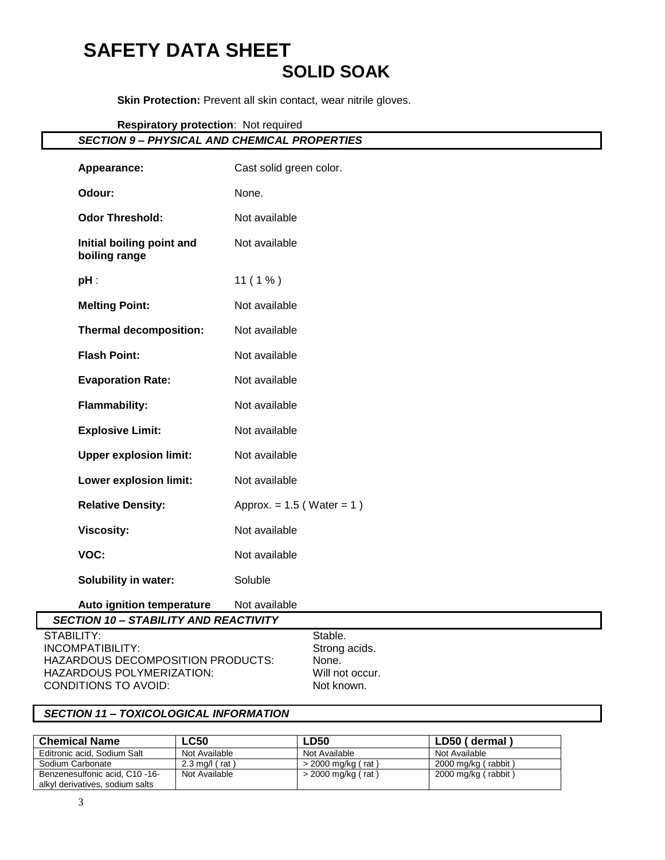### **SAFETY DATA SHEET SOLID SOAK**

**Skin Protection:** Prevent all skin contact, wear nitrile gloves.

**Respiratory protection**: Not required

| <b>SECTION 9- PHYSICAL AND CHEMICAL PROPERTIES</b>                                               |                                |  |
|--------------------------------------------------------------------------------------------------|--------------------------------|--|
| Appearance:                                                                                      | Cast solid green color.        |  |
| Odour:                                                                                           | None.                          |  |
| <b>Odor Threshold:</b>                                                                           | Not available                  |  |
| Initial boiling point and<br>boiling range                                                       | Not available                  |  |
| $pH$ :                                                                                           | $11(1\%)$                      |  |
| <b>Melting Point:</b>                                                                            | Not available                  |  |
| <b>Thermal decomposition:</b>                                                                    | Not available                  |  |
| <b>Flash Point:</b>                                                                              | Not available                  |  |
| <b>Evaporation Rate:</b>                                                                         | Not available                  |  |
| <b>Flammability:</b>                                                                             | Not available                  |  |
| <b>Explosive Limit:</b>                                                                          | Not available                  |  |
| <b>Upper explosion limit:</b>                                                                    | Not available                  |  |
| Lower explosion limit:                                                                           | Not available                  |  |
| <b>Relative Density:</b>                                                                         | Approx. = $1.5$ (Water = $1$ ) |  |
| <b>Viscosity:</b>                                                                                | Not available                  |  |
| VOC:                                                                                             | Not available                  |  |
| <b>Solubility in water:</b>                                                                      | Soluble                        |  |
| Auto ignition temperature                                                                        | Not available                  |  |
| <b>SECTION 10 - STABILITY AND REACTIVITY</b><br>$\sim$ $\sim$ $\sim$ $\sim$ $\sim$ $\sim$ $\sim$ |                                |  |

STABILITY: Stable. INCOMPATIBILITY: Strong acids. HAZARDOUS DECOMPOSITION PRODUCTS: None. HAZARDOUS POLYMERIZATION: Will not occur. CONDITIONS TO AVOID: Not known.

#### *SECTION 11 – TOXICOLOGICAL INFORMATION*

| <b>Chemical Name</b>            | LC50             | ∟D50                 | LD50 (dermal)       |
|---------------------------------|------------------|----------------------|---------------------|
| Editronic acid, Sodium Salt     | Not Available    | Not Available        | Not Available       |
| Sodium Carbonate                | 2.3 mg/l $(rat)$ | > 2000 mg/kg (rat)   | 2000 mg/kg (rabbit) |
| Benzenesulfonic acid, C10 -16-  | Not Available    | $>$ 2000 mg/kg (rat) | 2000 mg/kg (rabbit) |
| alkyl derivatives, sodium salts |                  |                      |                     |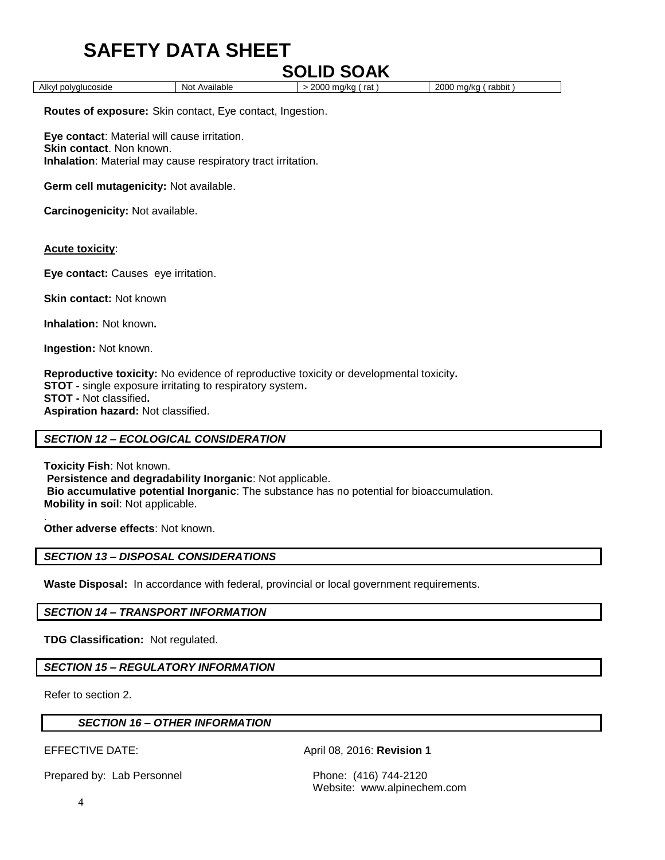## **SAFETY DATA SHEET**

## **SOLID SOAK**

Alkyl polyglucoside **Not Available** > 2000 mg/kg ( rat ) 2000 mg/kg ( rabbit )

**Routes of exposure:** Skin contact, Eye contact, Ingestion.

**Eye contact**: Material will cause irritation. **Skin contact**. Non known. **Inhalation**: Material may cause respiratory tract irritation.

**Germ cell mutagenicity:** Not available.

**Carcinogenicity:** Not available.

#### **Acute toxicity**:

**Eye contact:** Causes eye irritation.

**Skin contact:** Not known

**Inhalation:** Not known**.**

**Ingestion:** Not known.

**Reproductive toxicity:** No evidence of reproductive toxicity or developmental toxicity**. STOT -** single exposure irritating to respiratory system**. STOT -** Not classified**. Aspiration hazard:** Not classified.

#### *SECTION 12 – ECOLOGICAL CONSIDERATION*

**Toxicity Fish**: Not known. **Persistence and degradability Inorganic**: Not applicable. **Bio accumulative potential Inorganic**: The substance has no potential for bioaccumulation. **Mobility in soil**: Not applicable.

. **Other adverse effects**: Not known.

#### *SECTION 13 – DISPOSAL CONSIDERATIONS*

**Waste Disposal:** In accordance with federal, provincial or local government requirements.

*SECTION 14 – TRANSPORT INFORMATION*

**TDG Classification:** Not regulated.

#### *SECTION 15 – REGULATORY INFORMATION*

Refer to section 2.

|  | <b>SECTION 16 - OTHER INFORMATION</b> |
|--|---------------------------------------|
|--|---------------------------------------|

EFFECTIVE DATE: April 08, 2016: **Revision 1**

Prepared by: Lab Personnel Phone: (416) 744-2120

Website: www.alpinechem.com